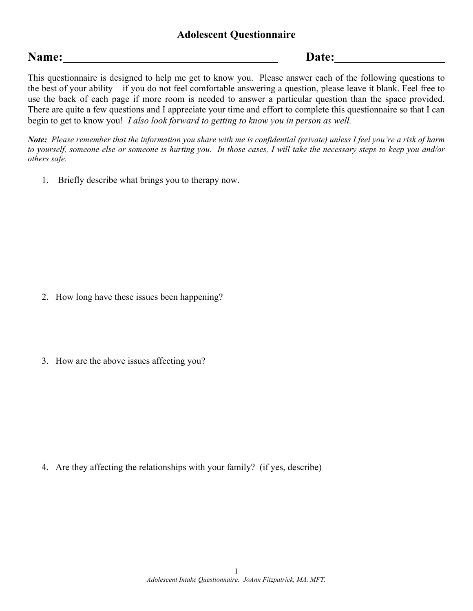# **Name: Date:**

This questionnaire is designed to help me get to know you. Please answer each of the following questions to the best of your ability – if you do not feel comfortable answering a question, please leave it blank. Feel free to use the back of each page if more room is needed to answer a particular question than the space provided. There are quite a few questions and I appreciate your time and effort to complete this questionnaire so that I can begin to get to know you! *I also look forward to getting to know you in person as well.*

*Note: Please remember that the information you share with me is confidential (private) unless I feel you're a risk of harm to yourself, someone else or someone is hurting you. In those cases, I will take the necessary steps to keep you and/or others safe.* 

1. Briefly describe what brings you to therapy now.

- 2. How long have these issues been happening?
- 3. How are the above issues affecting you?

4. Are they affecting the relationships with your family? (if yes, describe)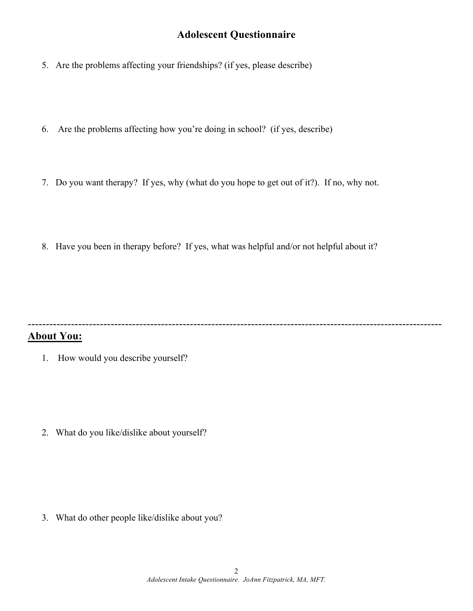- 5. Are the problems affecting your friendships? (if yes, please describe)
- 6. Are the problems affecting how you're doing in school? (if yes, describe)
- 7. Do you want therapy? If yes, why (what do you hope to get out of it?). If no, why not.
- 8. Have you been in therapy before? If yes, what was helpful and/or not helpful about it?

# -------------------------------------------------------------------------------------------------------------------

- **About You:**
	- 1. How would you describe yourself?

2. What do you like/dislike about yourself?

3. What do other people like/dislike about you?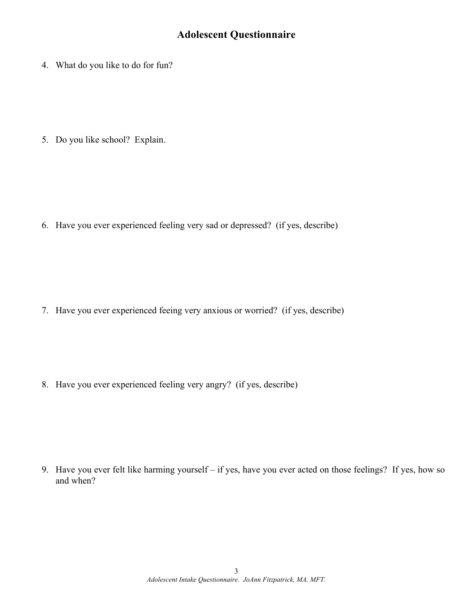4. What do you like to do for fun?

5. Do you like school? Explain.

6. Have you ever experienced feeling very sad or depressed? (if yes, describe)

7. Have you ever experienced feeing very anxious or worried? (if yes, describe)

8. Have you ever experienced feeling very angry? (if yes, describe)

9. Have you ever felt like harming yourself – if yes, have you ever acted on those feelings? If yes, how so and when?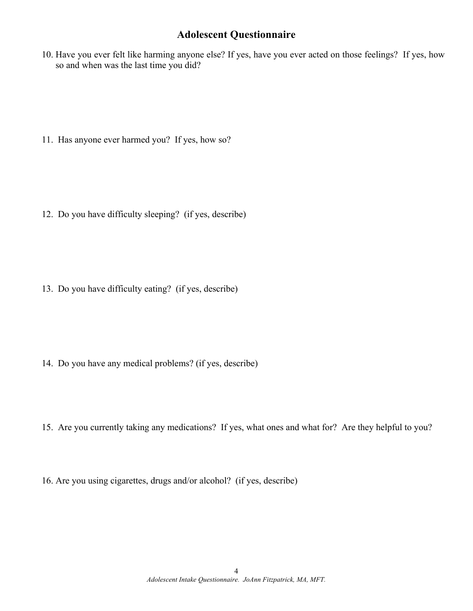10. Have you ever felt like harming anyone else? If yes, have you ever acted on those feelings? If yes, how so and when was the last time you did?

11. Has anyone ever harmed you? If yes, how so?

12. Do you have difficulty sleeping? (if yes, describe)

13. Do you have difficulty eating? (if yes, describe)

- 14. Do you have any medical problems? (if yes, describe)
- 15. Are you currently taking any medications? If yes, what ones and what for? Are they helpful to you?
- 16. Are you using cigarettes, drugs and/or alcohol? (if yes, describe)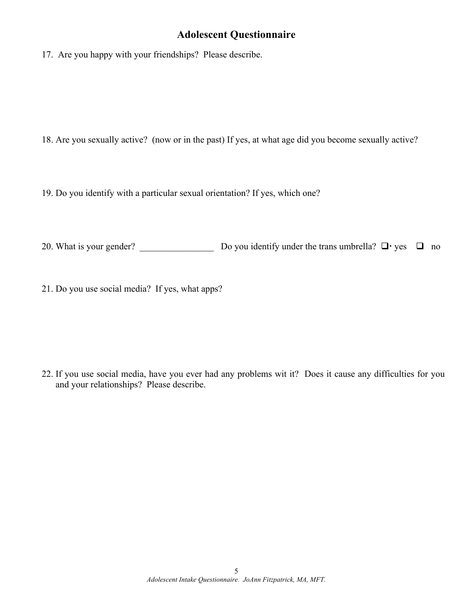17. Are you happy with your friendships? Please describe.

18. Are you sexually active? (now or in the past) If yes, at what age did you become sexually active?

19. Do you identify with a particular sexual orientation? If yes, which one?

20. What is your gender? \_\_\_\_\_\_\_\_\_\_\_\_\_\_\_\_ Do you identify under the trans umbrella? q yes q no

21. Do you use social media? If yes, what apps?

22. If you use social media, have you ever had any problems wit it? Does it cause any difficulties for you and your relationships? Please describe.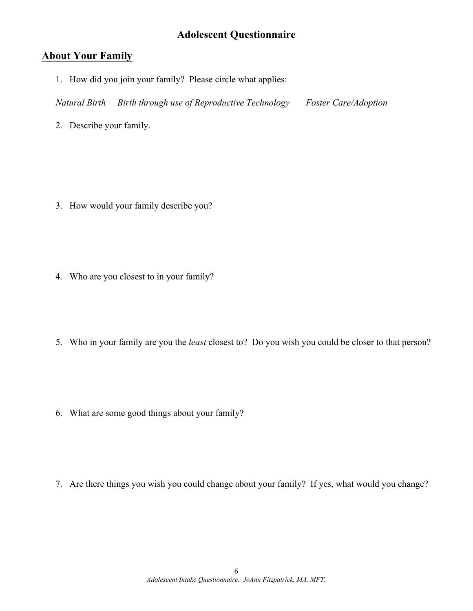#### **About Your Family**

1. How did you join your family? Please circle what applies:

*Natural Birth Birth through use of Reproductive Technology Foster Care/Adoption*

2. Describe your family.

- 3. How would your family describe you?
- 4. Who are you closest to in your family?
- 5. Who in your family are you the *least* closest to? Do you wish you could be closer to that person?
- 6. What are some good things about your family?
- 7. Are there things you wish you could change about your family? If yes, what would you change?